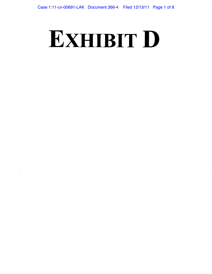# **EXHIBIT D**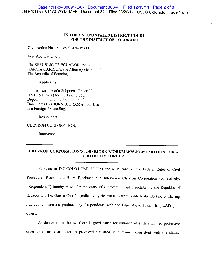## **IN THE UNITED STATES DISTRICT COURT FOR THE DISTRICT OF COLORADO**

Civil Action No. 1:1 1-cv-01470-WYD

In re Application of:

The REPUBLIC OF ECUADOR and DR. GARCÍA CARRIÓN, the Attorney General of The Republic of Ecuador,

Applicants,

For the Issuance of a Subpoena Under 28 U.S.C. § 1782(a) for the Taking of a Deposition of and the Production of Documents by BJORN BJORKMAN for Use in a Foreign Proceeding,

Respondent,

CHEVRON CORPORATION,

Intervenor.

# **CHEVRON CORPORATION'S AND BJORN BJORKMAN'S JOINT MOTION FOR A PROTECTIVE ORDER**

Pursuant to D.C.COLO.LCivR 30.2(A) and Rule 26(c) of the Federal Rules of Civil Procedure, Respondent Bjorn Bjorkman and Intervenor Chevron Corporation (collectively, "Respondents") hereby move for the entry of a protective order prohibiting the Republic of Ecuador and Dr. Garcia Carrion (collectively the "ROE") from publicly distributing or sharing non-public materials produced by Respondents with the Lago Agrio Plaintiffs ("LAPs") or others.

As demonstrated below, there is good cause for issuance of such a limited protective order to ensure that materials produced are used in a manner consistent with the statute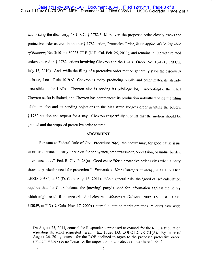#### Case 1:11-cv-01470-WYD -MEH Document 34 Filed 08/26/11 USDC Colorado Page 2 of 7 Case 1:11-cv-00691-LAK Document 366-4 Filed 12/13/11 Page 3 of 8

authorizing the discovery, 28 U.S.C.  $\S 1782$ .<sup>1</sup> Moreover, the proposed order closely tracks the protective order entered in another § 1782 action, Protective Order, *In re Applic. of the Republic*  of Ecuador, No. 3:10-mc-80225-CRB (N.D. Cal. Feb. 25, 2011), and remains in line with related orders entered in § 1782 actions involving Chevron and the LAPs. Order, No. 10-1918 (2d Cir. July *15,* 2010). And, while the filing of a protective order motion generally stays the discovery at issue, Local Rule 30.2(A), Chevron is today producing public and other materials already accessible to the LAPs. Chevron also is serving its privilege log. Accordingly, the relief Chevron seeks is limited, and Chevron has commenced its production notwithstanding the filing of this motion and its pending objections to the Magistrate Judge's order granting the ROE's § 1782 petition and request for a stay. Chevron respectfully submits that the motion should be granted and the proposed protective order entered.

#### **ARGUMENT**

Pursuant to Federal Rule of Civil Procedure 26(c), the "court may, for good cause issue an order to protect a party or person for annoyance, embarrassment, oppression, or undue burden or expense . . . ." Fed. R. Civ. P. 26(c). Good cause "for a protective order exists when a party shows a particular need for protection." *Fransioli v. New Concepts in Mktg.,* 2011 U.S. Dist. LEXIS 90384, at \*2 (D. Colo. Aug. 15, 2011). "As a general rule, the 'good cause' calculation requires that the Court balance the [moving] party's need for information against the injury which might result from unrestricted disclosure." *Masters v. Gilmore,* 2009 U.S. Dist. LEXIS 113059, at \*13 (D. Cob. Nov. 17, 2009) (internal quotation marks omitted). "Courts have wide

<sup>!</sup> On August *25,* 2011, counsel for Respondents proposed to counsel for the ROE a stipulation regarding the relief requested herein. Ex. 1; *see* D.C.COLO.LCivR 7.1(A). By letter of August 26, 2011, counsel for the ROE declined to agree to the proposed protective order, stating that they see no "basis for the imposition of a protective order here." Ex. 2.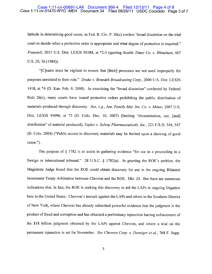#### Case 1:11-cv-01470-WYD -MEH Document 34 Filed 08/26/11 USDC Colorado Page 3 of 7 Case 1:11-cv-00691-LAK Document 366-4 Filed 12/13/11 Page 4 of 8

latitude in determining good cause, as Fed. R. Civ. P. 26(c) confers 'broad discretion on the trial court to decide when a protective order is appropriate and what degree of protection is required." *Fransioli,* 2011 U.S. Dist. LEXIS 90384, at \*23 (quoting *Seattle Times Co. v. Rhinehart, 467*  U.S. 20, 36 (1984)).

"[C]ourts must be vigilant to ensure that [their] processes are not used improperly for purposes unrelated to their role." *Drake v. Benedek Broadcasting Corp.,* 2000 U.S. Dist. LEXIS 1418, at \*4 (D. Kan. Feb. 9, 2000). In exercising the "broad discretion" conferred by Federal Rule 26(c), many courts have issued protective orders prohibiting the public distribution of materials produced through discovery. *See, e.g.,* Am. *Family Mut. Ins. Co. v. Minor,* 2007 U.S. Dist. LEXIS 94096, at \*2 (D. Colo. Dec. 10, 2007) (limiting "dissemination, use, [and] distribution" of material produced); Taylor v. Solvay Pharmaceuticals, Inc., 223 F.R.D. 544, 547 (D. Cob. 2004) ("Public access to discovery materials may be limited upon a showing of good cause.").

The purpose of § 1782 is to assist in gathering evidence "for use in a proceeding in a foreign or international tribunal." 28 U.S.C.  $\S$  1782(a). In granting the ROE's petition, the Magistrate Judge found that the ROE could obtain discovery for use in the ongoing Bilateral Investment Treaty Arbitration between Chevron and the ROE. Dkt. 20. But there are numerous indications that, in fact, the ROE is seeking this discovery to aid the LAPs in ongoing litigation here in the United States: Chevron's lawsuit against the LAPs and others in the Southern District of New York, where Chevron has already submitted powerful evidence that the judgment is the product of fraud and corruption and has obtained a preliminary injunction barring enforcement of the \$18 billion judgment obtained by the LAPs against Chevron, and where a trial on the permanent injunction is set for November. *See Chevron Corp. v. Donziger et al.,* 768 F. Supp.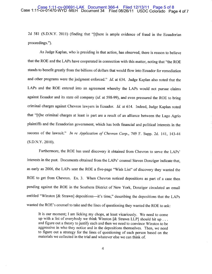2d *581* (S.D.N.Y. 2011) (finding that "[t]here is ample evidence of fraud in the Ecuadorian proceedings.").

As Judge Kaplan, who is presiding in that action, has observed, there is reason to believe that the ROE and the LAPs have cooperated in connection with this matter, noting that "the ROE stands to benefit greatly from the billions of dollars that would flow into Ecuador for remediation and other programs were the judgment enforced." *Id.* at 634. Judge Kaplan also noted that the LAPs and the ROE entered into an agreement whereby the LAPs would not pursue claims against Ecuador and its state oil company *(id.* at *598-99),* and even pressured the ROE to bring criminal charges against Chevron lawyers in Ecuador. *Id.* at 614. Indeed, Judge Kaplan noted that "[t]he criminal charges at least in part are a result of an alliance between the Lago Agrio plaintiffs and the Ecuadorian government, which has both financial and political interests in the success of the lawsuit." *In re Application of Chevron Corp.,* 749 F. Supp. 2d. 141, 143-44 (S.D.N.Y. 2010).

Furthermore, the ROE has used discovery it obtained from Chevron to serve the LAPs' interests in the past. Documents obtained from the LAPs' counsel Steven Donziger indicate that, as early as 2006, the LAPs sent the ROE a five-page "Wish List" of discovery they wanted the ROE to get from Chevron. Ex. 3. When Chevron noticed depositions as part of a case then pending against the ROE in the Southern District of New York, Donziger circulated an email entitled "Winston [& Strawn] depositions—it's time," describing the depositions that the LAPs wanted the ROE's counsel to take and the lines of questioning they wanted the ROE to ask:

It is our moment; I am licking my chops, at least vicariously. We need to come up with a list of everybody we think Winston  $\lceil \&$  Strawn LLP] should hit up ... and figure out a theory to justify each and then we need to convince Winston to be aggressive in who they notice and in the depositions themselves. Then, we need to figure out a strategy for the lines of questioning of each person based on the materials we collected in the trial and whatever else we can think of.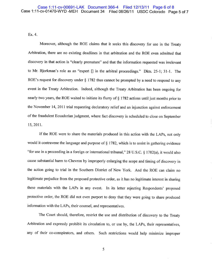Ex. 4.

Moreover, although the ROE claims that it seeks this discovery for use in the Treaty Arbitration, there are no existing deadlines in that arbitration and the ROE even admitted that discovery in that action is "clearly premature" and that the information requested was irrelevant to Mr. Bjorkman's role as an "expert [] in the arbitral proceedings." Dkts. 25-1; 31-1. The ROE's request for discovery under § 1782 thus cannot be prompted by a need to respond to any event in the Treaty Arbitration. Indeed, although the Treaty Arbitration has been ongoing for nearly two years, the ROE waited to initiate its flurry of § 1782 actions until just months prior to the November 14, 2011 trial requesting declaratory relief and an injunction against enforcement of the fraudulent Ecuadorian judgment, where fact discovery is scheduled to close on September *15,* 2011.

If the ROE were to share the materials produced in this action with the LAPs, not only would it contravene the language and purpose of  $\S$  1782, which is to assist in gathering evidence "for use in a proceeding in a foreign or international tribunal," 28 U.S.C. § 1782(a), it would also cause substantial harm to Chevron by improperly enlarging the scope and timing of discovery in the action going to trial in the Southern District of New York. And the ROE can claim no legitimate prejudice from the proposed protective order, as it has no legitimate interest in sharing these materials with the LAPs in any event. In its letter rejecting Respondents' proposed protective order, the ROE did not even purport to deny that they were going to share produced information with the LAPs, their counsel, and representatives.

The Court should, therefore, restrict the use and distribution of discovery to the Treaty Arbitration and expressly prohibit its circulation to, or use by, the LAPs, their representatives, any of their co-conspirators, and others. Such restrictions would help minimize improper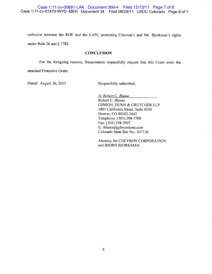collusion between the ROE and the LAPs, protecting Chevron's and Mr. Bjorkman's rights under Rule 26 and § 1782.

### **CONCLUSION**

For the foregoing reasons, Respondents respectfully request that this Court enter the

attached Protective Order.

Dated: August 26, 2011 Respectfully submitted,

*/s/ Robert C. Blume*  Robert C. Blume GIBSON, DUNN & CRUTCHER LLP 1801 California Street, Suite 4200 Denver, CO 80202-2642 Telephone: (303) 298-5700 Fax: (303) 298-5907 E: rblume@gibsondunn.com Colorado State Bar No.: 037130

Attorney for CHEVRON CORPORATION and BJORN BJORKMAN